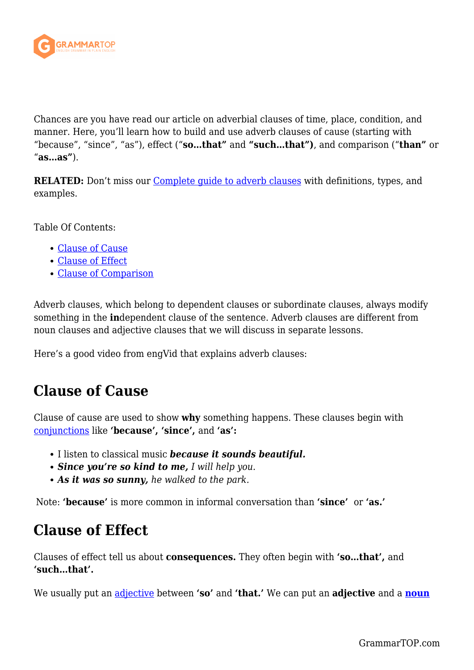

Chances are you have read our article on adverbial clauses of time, place, condition, and manner. Here, you'll learn how to build and use adverb clauses of cause (starting with "because", "since", "as"), effect ("**so…that"** and **"such…that")**, and comparison ("**than"** or "**as…as"**).

**RELATED:** Don't miss our *Complete guide to adverb clauses* with definitions, types, and examples.

Table Of Contents:

- [Clause of Cause](#page--1-0)
- [Clause of Effect](#page--1-0)
- [Clause of Comparison](#page--1-0)

Adverb clauses, which belong to dependent clauses or subordinate clauses, always modify something in the **in**dependent clause of the sentence. Adverb clauses are different from noun clauses and adjective clauses that we will discuss in separate lessons.

Here's a good video from engVid that explains adverb clauses:

## **Clause of Cause**

Clause of cause are used to show **why** something happens. These clauses begin with [conjunctions](https://grammartop.com/coordinating-conjunctions/) like **'because', 'since',** and **'as':**

- I listen to classical music *because it sounds beautiful.*
- *Since you're so kind to me, I will help you.*
- *As it was so sunny, he walked to the park.*

Note: **'because'** is more common in informal conversation than **'since'** or **'as.'**

## **Clause of Effect**

Clauses of effect tell us about **consequences.** They often begin with **'so…that',** and **'such…that'.**

We usually put an [adjective](https://grammartop.com/common-adjectives-and-demonstrative-adjectives/) between **'so'** and **'that.'** We can put an **adjective** and a **[noun](https://grammartop.com/common-nouns-and-proper-nouns/)**